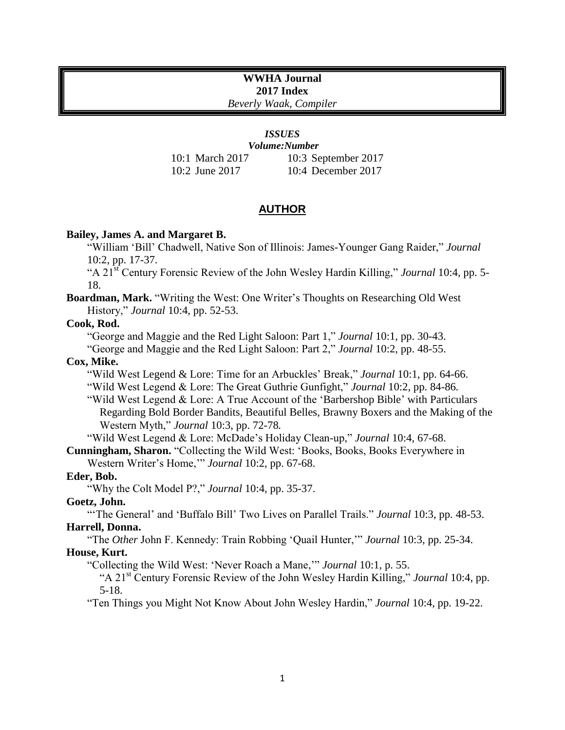# **WWHA Journal 2017 Index**

*Beverly Waak, Compiler*

## *ISSUES*

*Volume:Number* 10:1 March 2017 10:2 June 2017 10:3 September 2017 10:4 December 2017

## **AUTHOR**

## **Bailey, James A. and Margaret B.**

"William 'Bill' Chadwell, Native Son of Illinois: James-Younger Gang Raider," *Journal*  10:2, pp. 17-37.

"A 21st Century Forensic Review of the John Wesley Hardin Killing," *Journal* 10:4, pp. 5- 18.

## **Boardman, Mark.** "Writing the West: One Writer's Thoughts on Researching Old West History," *Journal* 10:4, pp. 52-53.

## **Cook, Rod.**

"George and Maggie and the Red Light Saloon: Part 1," *Journal* 10:1, pp. 30-43.

"George and Maggie and the Red Light Saloon: Part 2," *Journal* 10:2, pp. 48-55.

**Cox, Mike.** 

"Wild West Legend & Lore: Time for an Arbuckles' Break," *Journal* 10:1, pp. 64-66. "Wild West Legend & Lore: The Great Guthrie Gunfight," *Journal* 10:2, pp. 84-86*.*

"Wild West Legend & Lore: A True Account of the 'Barbershop Bible' with Particulars Regarding Bold Border Bandits, Beautiful Belles, Brawny Boxers and the Making of the Western Myth," *Journal* 10:3, pp. 72-78*.*

"Wild West Legend & Lore: McDade's Holiday Clean-up," *Journal* 10:4, 67-68.

**Cunningham, Sharon.** "Collecting the Wild West: 'Books, Books, Books Everywhere in Western Writer's Home,'" *Journal* 10:2, pp. 67-68.

**Eder, Bob.**

"Why the Colt Model P?," *Journal* 10:4, pp. 35-37.

## **Goetz, John.**

"'The General' and 'Buffalo Bill' Two Lives on Parallel Trails." *Journal* 10:3, pp. 48-53. **Harrell, Donna.**

"The *Other* John F. Kennedy: Train Robbing 'Quail Hunter,'" *Journal* 10:3, pp. 25-34. **House, Kurt.** 

"Collecting the Wild West: 'Never Roach a Mane,'" *Journal* 10:1, p. 55.

"A 21st Century Forensic Review of the John Wesley Hardin Killing," *Journal* 10:4, pp. 5-18.

"Ten Things you Might Not Know About John Wesley Hardin," *Journal* 10:4, pp. 19-22.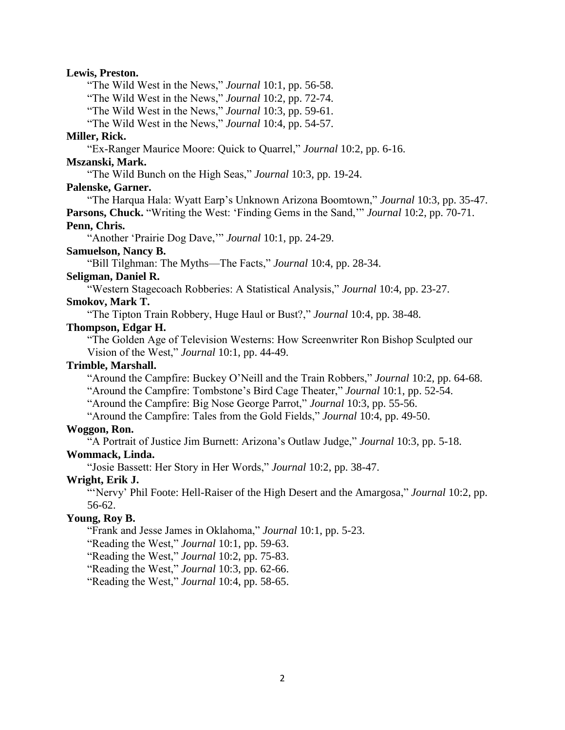#### **Lewis, Preston.**

"The Wild West in the News," *Journal* 10:1, pp. 56-58.

"The Wild West in the News," *Journal* 10:2, pp. 72-74.

"The Wild West in the News," *Journal* 10:3, pp. 59-61.

"The Wild West in the News," *Journal* 10:4, pp. 54-57.

#### **Miller, Rick.**

"Ex-Ranger Maurice Moore: Quick to Quarrel," *Journal* 10:2, pp. 6-16.

## **Mszanski, Mark.**

"The Wild Bunch on the High Seas," *Journal* 10:3, pp. 19-24.

#### **Palenske, Garner.**

"The Harqua Hala: Wyatt Earp's Unknown Arizona Boomtown," *Journal* 10:3, pp. 35-47.

**Parsons, Chuck.** "Writing the West: 'Finding Gems in the Sand,'" *Journal* 10:2, pp. 70-71. **Penn, Chris.**

"Another 'Prairie Dog Dave,'" *Journal* 10:1, pp. 24-29.

## **Samuelson, Nancy B.**

"Bill Tilghman: The Myths—The Facts," *Journal* 10:4, pp. 28-34.

#### **Seligman, Daniel R.**

"Western Stagecoach Robberies: A Statistical Analysis," *Journal* 10:4, pp. 23-27.

## **Smokov, Mark T.**

"The Tipton Train Robbery, Huge Haul or Bust?," *Journal* 10:4, pp. 38-48.

## **Thompson, Edgar H.**

"The Golden Age of Television Westerns: How Screenwriter Ron Bishop Sculpted our Vision of the West," *Journal* 10:1, pp. 44-49.

#### **Trimble, Marshall.**

"Around the Campfire: Buckey O'Neill and the Train Robbers," *Journal* 10:2, pp. 64-68.

"Around the Campfire: Tombstone's Bird Cage Theater," *Journal* 10:1, pp. 52-54.

"Around the Campfire: Big Nose George Parrot," *Journal* 10:3, pp. 55-56.

"Around the Campfire: Tales from the Gold Fields," *Journal* 10:4, pp. 49-50.

#### **Woggon, Ron.**

"A Portrait of Justice Jim Burnett: Arizona's Outlaw Judge," *Journal* 10:3, pp. 5-18.

#### **Wommack, Linda.**

"Josie Bassett: Her Story in Her Words," *Journal* 10:2, pp. 38-47.

## **Wright, Erik J.**

"'Nervy' Phil Foote: Hell-Raiser of the High Desert and the Amargosa," *Journal* 10:2, pp. 56-62.

#### **Young, Roy B.**

"Frank and Jesse James in Oklahoma," *Journal* 10:1, pp. 5-23.

"Reading the West," *Journal* 10:1, pp. 59-63.

"Reading the West," *Journal* 10:2, pp. 75-83.

"Reading the West," *Journal* 10:3, pp. 62-66.

"Reading the West," *Journal* 10:4, pp. 58-65.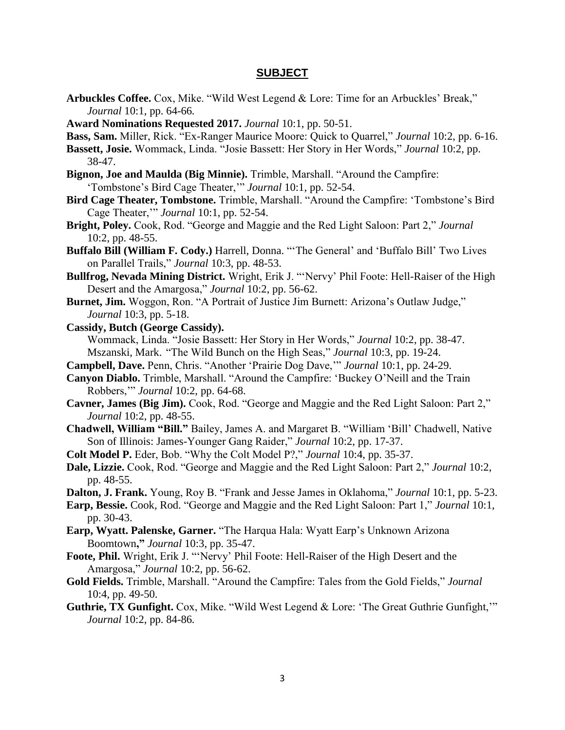#### **SUBJECT**

- **Arbuckles Coffee.** Cox, Mike. "Wild West Legend & Lore: Time for an Arbuckles' Break," *Journal* 10:1, pp. 64-66*.*
- **Award Nominations Requested 2017.** *Journal* 10:1, pp. 50-51.
- **Bass, Sam.** Miller, Rick. "Ex-Ranger Maurice Moore: Quick to Quarrel," *Journal* 10:2, pp. 6-16.
- **Bassett, Josie.** Wommack, Linda. "Josie Bassett: Her Story in Her Words," *Journal* 10:2, pp. 38-47.
- **Bignon, Joe and Maulda (Big Minnie).** Trimble, Marshall. "Around the Campfire: 'Tombstone's Bird Cage Theater,'" *Journal* 10:1, pp. 52-54.
- **Bird Cage Theater, Tombstone.** Trimble, Marshall. "Around the Campfire: 'Tombstone's Bird Cage Theater,'" *Journal* 10:1, pp. 52-54.
- **Bright, Poley.** Cook, Rod. "George and Maggie and the Red Light Saloon: Part 2," *Journal*  10:2, pp. 48-55.
- **Buffalo Bill (William F. Cody.)** Harrell, Donna. "'The General' and 'Buffalo Bill' Two Lives on Parallel Trails," *Journal* 10:3, pp. 48-53.
- **Bullfrog, Nevada Mining District.** Wright, Erik J. "'Nervy' Phil Foote: Hell-Raiser of the High Desert and the Amargosa," *Journal* 10:2, pp. 56-62.
- **Burnet, Jim.** Woggon, Ron. "A Portrait of Justice Jim Burnett: Arizona's Outlaw Judge," *Journal* 10:3, pp. 5-18.
- **Cassidy, Butch (George Cassidy).**

Wommack, Linda. "Josie Bassett: Her Story in Her Words," *Journal* 10:2, pp. 38-47. Mszanski, Mark. "The Wild Bunch on the High Seas," *Journal* 10:3, pp. 19-24.

- **Campbell, Dave.** Penn, Chris. "Another 'Prairie Dog Dave,'" *Journal* 10:1, pp. 24-29.
- **Canyon Diablo.** Trimble, Marshall. "Around the Campfire: 'Buckey O'Neill and the Train Robbers,'" *Journal* 10:2, pp. 64-68.
- **Cavner, James (Big Jim).** Cook, Rod. "George and Maggie and the Red Light Saloon: Part 2," *Journal* 10:2, pp. 48-55.
- **Chadwell, William "Bill."** Bailey, James A. and Margaret B. "William 'Bill' Chadwell, Native Son of Illinois: James-Younger Gang Raider," *Journal* 10:2, pp. 17-37.
- **Colt Model P.** Eder, Bob. "Why the Colt Model P?," *Journal* 10:4, pp. 35-37.
- **Dale, Lizzie.** Cook, Rod. "George and Maggie and the Red Light Saloon: Part 2," *Journal* 10:2, pp. 48-55.

**Dalton, J. Frank.** Young, Roy B. "Frank and Jesse James in Oklahoma," *Journal* 10:1, pp. 5-23.

- **Earp, Bessie.** Cook, Rod. "George and Maggie and the Red Light Saloon: Part 1," *Journal* 10:1, pp. 30-43.
- **Earp, Wyatt. Palenske, Garner.** "The Harqua Hala: Wyatt Earp's Unknown Arizona Boomtown**,"** *Journal* 10:3, pp. 35-47.
- **Foote, Phil.** Wright, Erik J. "'Nervy' Phil Foote: Hell-Raiser of the High Desert and the Amargosa," *Journal* 10:2, pp. 56-62.
- **Gold Fields.** Trimble, Marshall. "Around the Campfire: Tales from the Gold Fields," *Journal*  10:4, pp. 49-50.
- **Guthrie, TX Gunfight.** Cox, Mike. "Wild West Legend & Lore: 'The Great Guthrie Gunfight,'" *Journal* 10:2, pp. 84-86*.*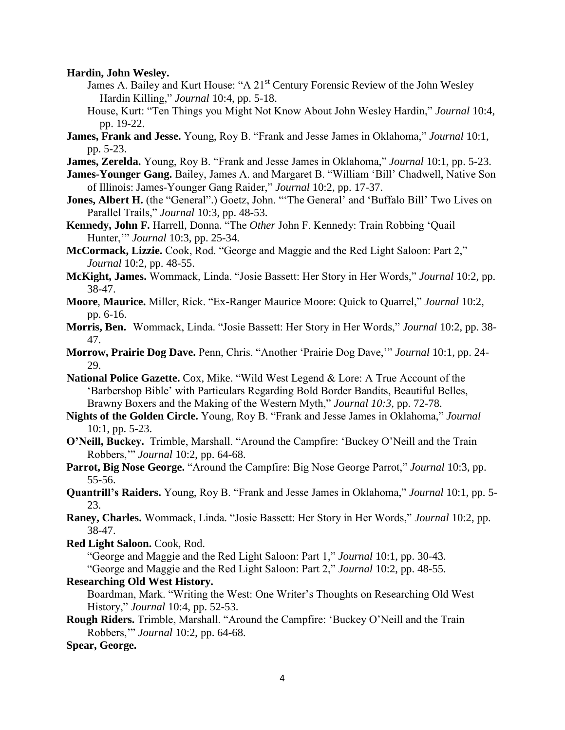**Hardin, John Wesley.** 

- James A. Bailey and Kurt House: "A 21<sup>st</sup> Century Forensic Review of the John Wesley Hardin Killing," *Journal* 10:4, pp. 5-18.
- House, Kurt: "Ten Things you Might Not Know About John Wesley Hardin," *Journal* 10:4, pp. 19-22.
- **James, Frank and Jesse.** Young, Roy B. "Frank and Jesse James in Oklahoma," *Journal* 10:1, pp. 5-23.
- **James, Zerelda.** Young, Roy B. "Frank and Jesse James in Oklahoma," *Journal* 10:1, pp. 5-23.
- **James-Younger Gang.** Bailey, James A. and Margaret B. "William 'Bill' Chadwell, Native Son of Illinois: James-Younger Gang Raider," *Journal* 10:2, pp. 17-37.
- Jones, Albert H. (the "General".) Goetz, John. "'The General' and 'Buffalo Bill' Two Lives on Parallel Trails," *Journal* 10:3, pp. 48-53.
- **Kennedy, John F.** Harrell, Donna. "The *Other* John F. Kennedy: Train Robbing 'Quail Hunter,'" *Journal* 10:3, pp. 25-34.
- **McCormack, Lizzie.** Cook, Rod. "George and Maggie and the Red Light Saloon: Part 2," *Journal* 10:2, pp. 48-55.
- **McKight, James.** Wommack, Linda. "Josie Bassett: Her Story in Her Words," *Journal* 10:2, pp. 38-47.
- **Moore**, **Maurice.** Miller, Rick. "Ex-Ranger Maurice Moore: Quick to Quarrel," *Journal* 10:2, pp. 6-16.
- **Morris, Ben.** Wommack, Linda. "Josie Bassett: Her Story in Her Words," *Journal* 10:2, pp. 38- 47.
- **Morrow, Prairie Dog Dave.** Penn, Chris. "Another 'Prairie Dog Dave,'" *Journal* 10:1, pp. 24- 29.
- **National Police Gazette.** Cox, Mike. "Wild West Legend & Lore: A True Account of the 'Barbershop Bible' with Particulars Regarding Bold Border Bandits, Beautiful Belles, Brawny Boxers and the Making of the Western Myth," *Journal 10:3,* pp. 72-78.
- **Nights of the Golden Circle.** Young, Roy B. "Frank and Jesse James in Oklahoma," *Journal*  10:1, pp. 5-23.
- **O'Neill, Buckey.** Trimble, Marshall. "Around the Campfire: 'Buckey O'Neill and the Train Robbers,'" *Journal* 10:2, pp. 64-68.
- **Parrot, Big Nose George.** "Around the Campfire: Big Nose George Parrot," *Journal* 10:3, pp. 55-56.
- **Quantrill's Raiders.** Young, Roy B. "Frank and Jesse James in Oklahoma," *Journal* 10:1, pp. 5- 23.
- **Raney, Charles.** Wommack, Linda. "Josie Bassett: Her Story in Her Words," *Journal* 10:2, pp. 38-47.
- **Red Light Saloon.** Cook, Rod.

"George and Maggie and the Red Light Saloon: Part 1," *Journal* 10:1, pp. 30-43.

"George and Maggie and the Red Light Saloon: Part 2," *Journal* 10:2, pp. 48-55.

**Researching Old West History.**

Boardman, Mark. "Writing the West: One Writer's Thoughts on Researching Old West History," *Journal* 10:4, pp. 52-53.

**Rough Riders.** Trimble, Marshall. "Around the Campfire: 'Buckey O'Neill and the Train Robbers,'" *Journal* 10:2, pp. 64-68.

**Spear, George.**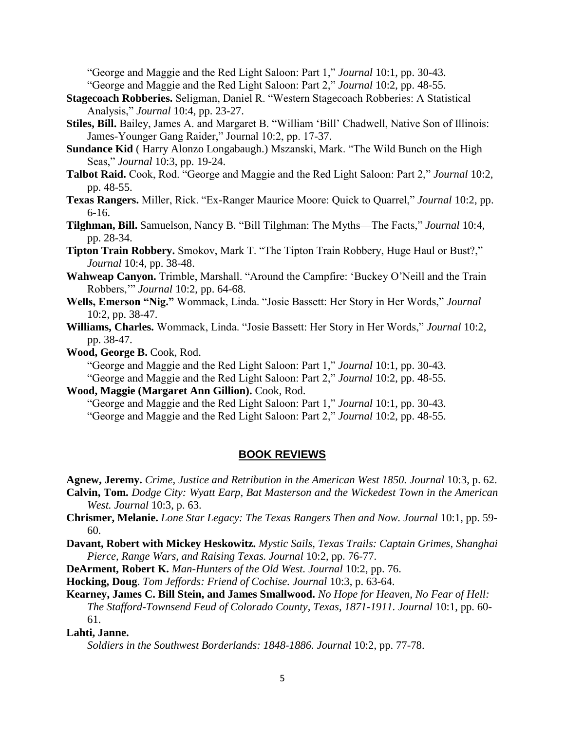"George and Maggie and the Red Light Saloon: Part 1," *Journal* 10:1, pp. 30-43. "George and Maggie and the Red Light Saloon: Part 2," *Journal* 10:2, pp. 48-55.

- **Stagecoach Robberies.** Seligman, Daniel R. "Western Stagecoach Robberies: A Statistical Analysis," *Journal* 10:4, pp. 23-27.
- **Stiles, Bill.** Bailey, James A. and Margaret B. "William 'Bill' Chadwell, Native Son of Illinois: James-Younger Gang Raider," Journal 10:2, pp. 17-37.
- **Sundance Kid** ( Harry Alonzo Longabaugh.) Mszanski, Mark. "The Wild Bunch on the High Seas," *Journal* 10:3, pp. 19-24.
- **Talbot Raid.** Cook, Rod. "George and Maggie and the Red Light Saloon: Part 2," *Journal* 10:2, pp. 48-55.
- **Texas Rangers.** Miller, Rick. "Ex-Ranger Maurice Moore: Quick to Quarrel," *Journal* 10:2, pp. 6-16.
- **Tilghman, Bill.** Samuelson, Nancy B. "Bill Tilghman: The Myths—The Facts," *Journal* 10:4, pp. 28-34.
- **Tipton Train Robbery.** Smokov, Mark T. "The Tipton Train Robbery, Huge Haul or Bust?," *Journal* 10:4, pp. 38-48.
- **Wahweap Canyon.** Trimble, Marshall. "Around the Campfire: 'Buckey O'Neill and the Train Robbers,'" *Journal* 10:2, pp. 64-68.
- **Wells, Emerson "Nig."** Wommack, Linda. "Josie Bassett: Her Story in Her Words," *Journal*  10:2, pp. 38-47.
- **Williams, Charles.** Wommack, Linda. "Josie Bassett: Her Story in Her Words," *Journal* 10:2, pp. 38-47.

**Wood, George B.** Cook, Rod.

"George and Maggie and the Red Light Saloon: Part 1," *Journal* 10:1, pp. 30-43.

"George and Maggie and the Red Light Saloon: Part 2," *Journal* 10:2, pp. 48-55.

### **Wood, Maggie (Margaret Ann Gillion).** Cook, Rod.

"George and Maggie and the Red Light Saloon: Part 1," *Journal* 10:1, pp. 30-43.

"George and Maggie and the Red Light Saloon: Part 2," *Journal* 10:2, pp. 48-55.

## **BOOK REVIEWS**

**Agnew, Jeremy.** *Crime, Justice and Retribution in the American West 1850. Journal* 10:3, p. 62.

- **Calvin, Tom.** *Dodge City: Wyatt Earp, Bat Masterson and the Wickedest Town in the American West. Journal* 10:3, p. 63.
- **Chrismer, Melanie.** *Lone Star Legacy: The Texas Rangers Then and Now. Journal* 10:1, pp. 59- 60.
- **Davant, Robert with Mickey Heskowitz.** *Mystic Sails, Texas Trails: Captain Grimes, Shanghai Pierce, Range Wars, and Raising Texas. Journal* 10:2, pp. 76-77.
- **DeArment, Robert K.** *Man-Hunters of the Old West. Journal* 10:2, pp. 76.

**Hocking, Doug**. *Tom Jeffords: Friend of Cochise. Journal* 10:3, p. 63-64.

**Kearney, James C. Bill Stein, and James Smallwood.** *No Hope for Heaven, No Fear of Hell: The Stafford-Townsend Feud of Colorado County, Texas, 1871-1911. Journal* 10:1, pp. 60- 61.

#### **Lahti, Janne.**

*Soldiers in the Southwest Borderlands: 1848-1886. Journal* 10:2, pp. 77-78.